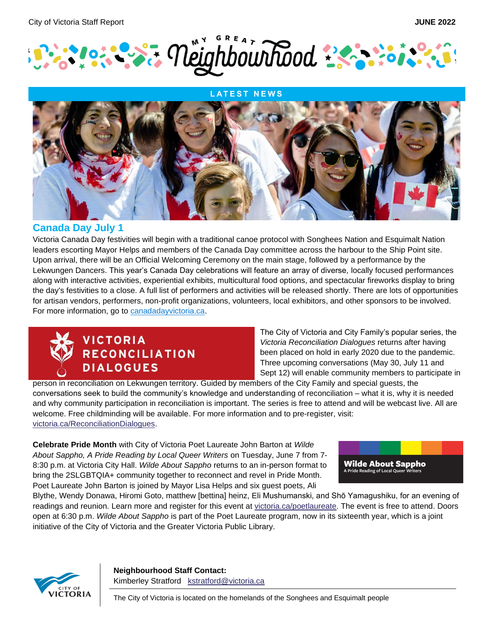



### **Canada Day July 1**

Victoria Canada Day festivities will begin with a traditional canoe protocol with Songhees Nation and Esquimalt Nation leaders escorting Mayor Helps and members of the Canada Day committee across the harbour to the Ship Point site. Upon arrival, there will be an Official Welcoming Ceremony on the main stage, followed by a performance by the Lekwungen Dancers. This year's Canada Day celebrations will feature an array of diverse, locally focused performances along with interactive activities, experiential exhibits, multicultural food options, and spectacular fireworks display to bring the day's festivities to a close. A full list of performers and activities will be released shortly. There are lots of opportunities for artisan vendors, performers, non-profit organizations, volunteers, local exhibitors, and other sponsors to be involved. For more information, go to [canadadayvictoria.ca.](https://www.canadadayvictoria.ca/)



The City of Victoria and City Family's popular series, the *Victoria Reconciliation Dialogues* returns after having been placed on hold in early 2020 due to the pandemic. Three upcoming conversations (May 30, July 11 and Sept 12) will enable community members to participate in

person in reconciliation on Lekwungen territory. Guided by members of the City Family and special guests, the conversations seek to build the community's knowledge and understanding of reconciliation – what it is, why it is needed and why community participation in reconciliation is important. The series is free to attend and will be webcast live. All are welcome. Free childminding will be available. For more information and to pre-register, visit: [victoria.ca/ReconciliationDialogues.](https://can01.safelinks.protection.outlook.com/?url=http%3A%2F%2Fwww.victoria.ca%2FReconciliationDialogues&data=05%7C01%7Ckstratford%40victoria.ca%7Cb1e80f22483a422e13a208da2d2b2b33%7Cd7098116c6e84d2a89eedb15b6c23375%7C0%7C0%7C637871960881967971%7CUnknown%7CTWFpbGZsb3d8eyJWIjoiMC4wLjAwMDAiLCJQIjoiV2luMzIiLCJBTiI6Ik1haWwiLCJXVCI6Mn0%3D%7C3000%7C%7C%7C&sdata=SuAQGW3Za%2FFc88hnYwvVoLo1c13OEs%2F4Tzi9msU9y70%3D&reserved=0)

**Celebrate Pride Month** with City of Victoria Poet Laureate John Barton at *Wilde About Sappho, A Pride Reading by Local Queer Writers* on Tuesday, June 7 from 7- 8:30 p.m. at Victoria City Hall. *Wilde About Sappho* returns to an in-person format to bring the 2SLGBTQIA+ community together to reconnect and revel in Pride Month. Poet Laureate John Barton is joined by Mayor Lisa Helps and six guest poets, Ali



Blythe, Wendy Donawa, Hiromi Goto, matthew [bettina] heinz, Eli Mushumanski, and Shō Yamagushiku, for an evening of readings and reunion. Learn more and register for this event at [victoria.ca/poetlaureate.](https://can01.safelinks.protection.outlook.com/?url=https%3A%2F%2Fwww.victoria.ca%2FEN%2Fmain%2Fresidents%2Fculture%2Fpoet-laureate%2Fpoet-laureate%2Fwilde-about-sappho.html&data=05%7C01%7Ckstratford%40victoria.ca%7C107acca29fd6478e9fda08da3db03a5b%7Cd7098116c6e84d2a89eedb15b6c23375%7C0%7C0%7C637890124478153764%7CUnknown%7CTWFpbGZsb3d8eyJWIjoiMC4wLjAwMDAiLCJQIjoiV2luMzIiLCJBTiI6Ik1haWwiLCJXVCI6Mn0%3D%7C3000%7C%7C%7C&sdata=VKlYBWr5bFMYTCu6EcCcV7qX0fTDx2pElnqESF1BoaY%3D&reserved=0) The event is free to attend. Doors open at 6:30 p.m. *Wilde About Sappho* is part of the Poet Laureate program, now in its sixteenth year, which is a joint initiative of the City of Victoria and the Greater Victoria Public Library.



**Neighbourhood Staff Contact:** Kimberley Stratford [kstratford@victoria.ca](mailto:kstratford@victoria.ca)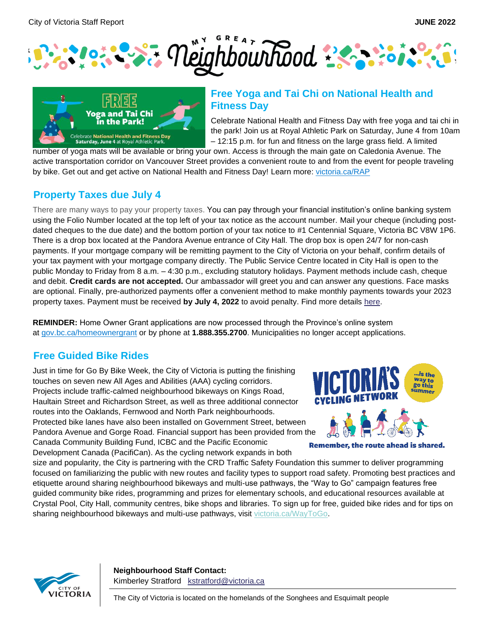



## **Free Yoga and Tai Chi on National Health and Fitness Day**

Celebrate National Health and Fitness Day with free yoga and tai chi in the park! Join us at Royal Athletic Park on Saturday, June 4 from 10am – 12:15 p.m. for fun and fitness on the large grass field. A limited

number of yoga mats will be available or bring your own. Access is through the main gate on Caledonia Avenue. The active transportation corridor on Vancouver Street provides a convenient route to and from the event for people traveling by bike. Get out and get active on National Health and Fitness Day! Learn more: [victoria.ca/RAP](https://www.victoria.ca/EN/main/residents/facilities/royal-athletic-park.html)

# **Property Taxes due July 4**

There are many ways to pay your property taxes. You can pay through your financial institution's online banking system using the Folio Number located at the top left of your tax notice as the account number. Mail your cheque (including postdated cheques to the due date) and the bottom portion of your tax notice to #1 Centennial Square, Victoria BC V8W 1P6. There is a drop box located at the Pandora Avenue entrance of City Hall. The drop box is open 24/7 for non-cash payments. If your mortgage company will be remitting payment to the City of Victoria on your behalf, confirm details of your tax payment with your mortgage company directly. The Public Service Centre located in City Hall is open to the public Monday to Friday from 8 a.m. – 4:30 p.m., excluding statutory holidays. Payment methods include cash, cheque and debit. **Credit cards are not accepted.** Our ambassador will greet you and can answer any questions. Face masks are optional. Finally, pre-authorized payments offer a convenient method to make monthly payments towards your 2023 property taxes. Payment must be received by July 4, 2022 to avoid penalty. Find more details [here.](https://www.victoria.ca/EN/main/residents/property-taxes.html)

**REMINDER:** Home Owner Grant applications are now processed through the Province's online system at [gov.bc.ca/homeownergrant](https://www2.gov.bc.ca/gov/content/taxes/property-taxes/annual-property-tax/home-owner-grant) or by phone at **1.888.355.2700**. Municipalities no longer accept applications.

# **Free Guided Bike Rides**

Just in time for Go By Bike Week, the City of Victoria is putting the finishing touches on seven new All Ages and Abilities (AAA) cycling corridors. Projects include traffic-calmed neighbourhood bikeways on Kings Road, Haultain Street and Richardson Street, as well as three additional connector routes into the Oaklands, Fernwood and North Park neighbourhoods. Protected bike lanes have also been installed on Government Street, between Pandora Avenue and Gorge Road. Financial support has been provided from the Canada Community Building Fund, ICBC and the Pacific Economic Development Canada (PacifiCan). As the cycling network expands in both



**Remember, the route ahead is shared.** 

size and popularity, the City is partnering with the CRD Traffic Safety Foundation this summer to deliver programming focused on familiarizing the public with new routes and facility types to support road safety. Promoting best practices and etiquette around sharing neighbourhood bikeways and multi-use pathways, the "Way to Go" campaign features free guided community bike rides, programming and prizes for elementary schools, and educational resources available at Crystal Pool, City Hall, community centres, bike shops and libraries. To sign up for free, guided bike rides and for tips on sharing neighbourhood bikeways and multi-use pathways, visit [victoria.ca/WayToGo.](https://can01.safelinks.protection.outlook.com/?url=https%3A%2F%2Fwww.victoria.ca%2FEN%2Fmain%2Fresidents%2Fstreets-transportation%2Fway-to-go.html&data=05%7C01%7Ckstratford%40victoria.ca%7Cd7bc100c1be441d5957108da427c4dc1%7Cd7098116c6e84d2a89eedb15b6c23375%7C0%7C0%7C637895398987158392%7CUnknown%7CTWFpbGZsb3d8eyJWIjoiMC4wLjAwMDAiLCJQIjoiV2luMzIiLCJBTiI6Ik1haWwiLCJXVCI6Mn0%3D%7C3000%7C%7C%7C&sdata=Rt7pnuhCjZzaAlStB28iWvktd19jbUXXIXanCx4sj8c%3D&reserved=0)



**Neighbourhood Staff Contact:** Kimberley Stratford [kstratford@victoria.ca](mailto:kstratford@victoria.ca)